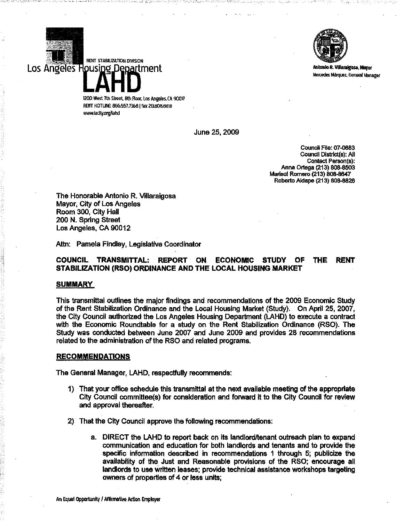

Antonio R. Vülaraigosa, Mayor Mercedes Márquez, General Manager

1200 West 7th Street. 8th Floor. Los Angeles.CA 90017 RENT HOTLINE: 866.557.7368 | fax 213.808.8818 www.lacity.org/lahd

::: 1999 - 1999 - 1999 - 1999 - 1999 - 1999 - 1999 - 1999 - 1999 - 1999 - 1999 - 1999 - 1999 - 1999 - 1999 - 1

RENT STABRIZATION DIVISION

Los Angeles Housing Department

June 25, 2009

 $-+$ 

Council File: 07-0883 Council District(s): All Contact Person(s): Anna Ortega (213) 808-8503 Marisol Romero (213) 808-8647 Roberto Aldape (213) 808-8828

The Honorable Antonio R. Villaraigosa Mayor, City of Los Angeles Room 300, City Hall 200 N. Spring Street Los Angeles, CA 90012

Attn: Pamela Findley, Legislative Coordinator

# COUNCIL TRANSMITTAL: REPORT ON ECONOMIC STUDY OF THE RENT STABILIZATION (RSO) ORDINANCE AND THE LOCAL HOUSING MARKET

#### **SUMMARY**

I  $\cdot$  $\gamma$ 

> This transmittal outlines the major findings and recommendations of the 2009 Economic Study of the Rent Stabilization Ordinance and the Local Housing Market (Study). On April 25, 2007, the City Council authorized the Los Angeles Housing Department (LAHD) to execute a contract with the Economic Roundtable for a study on the Rent Stabilization Ordinance (RSO). The Study was conducted between June 2007 and June 2009 and provides 28 recommendations related to the administration of the RSO and related programs.

## RECOMMENDATIONS

The General Manager, LAHD, respectfully recommends:

- 1) That your office schedule this transmittal at the next available meeting of the appropriate City Council committee(s) for consideration and forward It to the City Council for review and approval thereafter.
- 2) That the City Council approve the following recommendations:
	- a. DIRECT the LAHD to report back on its landlord/tenant outreach plan to expand communication and education for both landlords and tenants and to provide the specific information described in recommendations 1 through 5; publicize the availability of the Just and Reasonable provisions of the RSO; encourage all landlords to use written leases; provide technical assistance workshops targeting owners of properties of 4 or less units;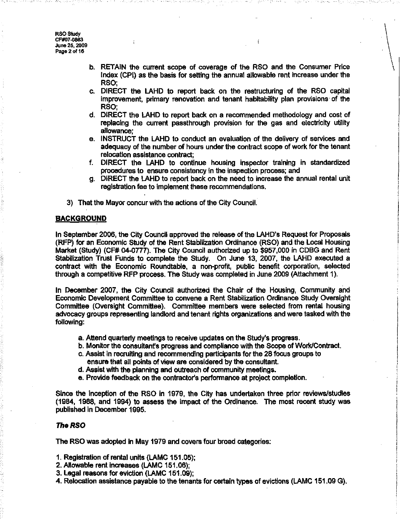**RSO Study** CF#07-0883 June 25, 2009 Page 2 of 16

- b. RETAIN the current scope of coverage of the RSO and the Consumer Price Index (CPI) as the basis for setting the annual allowable rent increase under the RSO;
- c. DIRECT the LAHD to report back on the restructuring of the RSO capital improvement, primary renovation and tenant habitability plan provisions· of the RSO;
- d. DIRECT the LAHD to report back on a recommended methodology and cost of replacing the current passthrough provision for the gas and electricity utility allowance;
- e. INSTRUCT the LAHD to conduct an evaluation of the delivery of services and adequacy of the number of hours under the contract scope of work for the tenant relocation assistance contract;
- f. DIRECT the LAHD to continue housing inspector training in standardized procedures to ensure consistency in the inspection process; and
- g. DIRECT the LAHD to report back on the need to increase the annual rental unit registration fee to implement these recommendations.
- 3) That the Mayor concur with the actions of the City Council.

## **BACKGROUND**

In September 2006, the City Council approved the release of the LAHD's Request for Proposals (RFP) for an Economic Study of the Rent Stabilization Ordinance (RSO) and the Local Housing Market (Study) (CF# 04-0777). The City Council authorized up to \$957,000 in CDBG and Rent Stabilization Trust Funds to complete the Study. On June 13, 2007, the LAHD executed a contract with the Economic Roundtable, a non-profrt, public benefit corporation, selected through a competitive RFP process. The Study was completed in June 2009 (Attachment 1).

In December 2007, the City Council authorized the Chair of the Housing, Community and Economic Development Committee to convene a Rent Stabilization Ordinance Study Oversight Committee (Oversight Committee). Committee members were selected from rental housing advocacy groups representing landlord and tenant rights organizations and were tasked with the following: .

- a. Attend quarterly meetings to receive updates on the Study's progress.
- b. Monitor the consultant's progress and compliance with the Scope of Work/Contract.
- c. Assist in recruiting and recommending participants for the 28 focus groups to ensure that all points of view are considered by the consultant.
- d. Assist with the planning and outreach of community meetings.
- e. Provide feedback on the contractor's performance at project completion.

Since the inception of the RSO in 1979, the City has undertaken three prior reviews/studies (1984, 1988, and 1994) to assess the impact of the Ordinance. The most recent study was published in December 1995.

#### **The RSO**

The RSO was adopted in May 1979 and covers four broad categories:

- 1. Registration of rental units (LAMC 151.05);
- 2. Allowable rent increases (LAMC 151.06);
- 3. Legal reasons for eviction (LAMC 151.09);
- 4. Relocation assistance payable to the tenants for certain types of evictions (LAMC 151.09 G).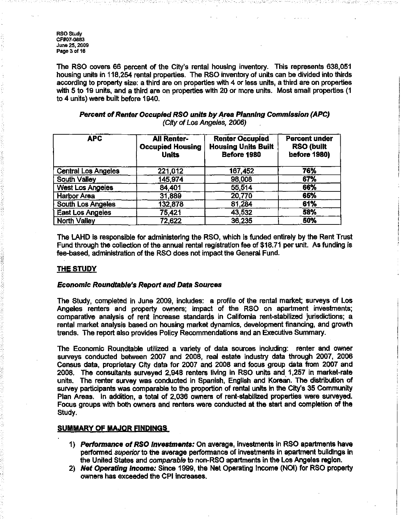RSO Study CF#07-0883 June 25, 2009 Page 3 of 16

The RSO covers 66 percent of the City's rental housing inventory. This represents 638,051 housing units in 118,254 rental properties. The RSO inventory of units can be divided into thirds according to property size: a third are on properties with 4 or less units, a third are on properties with 5 to 19 units, and a third are on properties with 20 or more units. Most small properties (1 to 4 units) were built before 1940.

| Percent of Renter Occupied RSO units by Area Planning Commission (APC) |  |
|------------------------------------------------------------------------|--|
| (City of Los Angeles, 2006)                                            |  |

| <b>APC</b>                 | <b>All Renter-</b><br><b>Occupied Housing</b><br><b>Units</b> | <b>Renter Occupied</b><br><b>Housing Units Built</b><br>Before 1980 | <b>Percent under</b><br><b>RSO (built</b><br><b>before 1980)</b> |
|----------------------------|---------------------------------------------------------------|---------------------------------------------------------------------|------------------------------------------------------------------|
| <b>Central Los Angeles</b> | 221,012                                                       | 167.452                                                             | 76%                                                              |
| <b>South Valley</b>        | 145,974                                                       | 98,008                                                              | 67%                                                              |
| West Los Angeles           | 84,401                                                        | 55,514                                                              | 66%                                                              |
| <b>Harbor Area</b>         | 31,889                                                        | 20,770                                                              | 65%                                                              |
| <b>South Los Angeles</b>   | 132,878                                                       | 81,284                                                              | 61%                                                              |
| East Los Angeles           | 75,421                                                        | 43,532                                                              | 58%                                                              |
| <b>North Valley</b>        | 72,622                                                        | 36,235                                                              | 50%                                                              |

The LAHD is responsible for administering the RSO, which is funded entirely by the Rent Trust Fund through the collection of the annual rental registration fee of \$18.71 per unit. As funding is fee-based, administration of the RSO does not impact the General Fund.

# THE STUDY

# Economic Roundtable's Report and Data Sources

The Study, completed in June 2009, includes: a profile of the rental market; surveys of Los Angeles renters and property owners; impact of the RSO on apartment investments; comparative analysis of rent increase standards in California rent-stabilized jurisdictions; a rental market analysis based on housing market dynamics, development financing, and growth trends. The report also provides Policy Recommendations and an Executive Summary.

The Economic Roundtable utilized a variety of data sources including: renter and owner surveys conducted between 2007 and 2008, real estate industry data through 2007, 2006 Census data, proprietary City data for 2007 and 2008 and focus group data from 2007 and 2008. The consultants surveyed 2,948 renters living in RSO units and, 1,257 in market-rate units. The renter survey was conducted in Spanish, English and Korean. The distribution of survey participants Was comparable to the proportion of rental units in the City's 35 Community Plan Areas. In addition, a total of 2,036 owners of rent-stabllized properties were surveyed. Focus groups with both owners and renters were conducted at the start and completion of the Study.

## SUMMARY OF MAJOR FINDINGS

- 1) Performance of RSO Investments: On average, investments in RSO apartments have performed superior to the average performance of investments in apartment buildings In the United States and comparable to non-RSO apartments in the Los Angeles region.
- 2) Net Operating Income: Since 1999, the Net Operating Income (NOI) for RSO property owners has exceeded the CPI increases.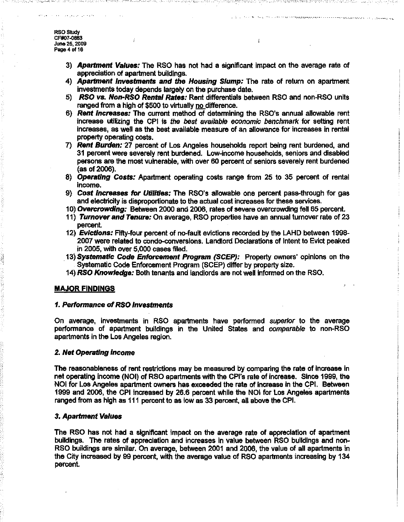3) **Apartment Values:** The RSO has not had a significant impact on the average rate of appreciation of apartment buildings.

. ) we examine

is have a composite proven and the second construction of the contract of the hold for  $\tau_{\rm max}$  ,  $\tau_{\rm max}$ 

- 4) **Apartment Investments and the Housing Slump:** The rate of return on apartment investments today depends largely on the purchase date.
- 5) RSO vs. Non-RSO Rental Rates: Rent differentials between RSO and non-RSO units ranged from a high of \$500 to virtually no difference.
- 6) Rent Increases: The current method of determining the RSO's annual allowable rent  $inc$ rease utilizing the CPI is the best available economic benchmark for setting rent increases, as well as the best available measure of an allowance for increases in rental property operating costs.
- 7) Rent Burden: 27 percent of Los Angeles households report being rent burdened, and 31 percent were severely rent burdened. Low-income households, seniors and disabled persons are the most vulnerable, with over 60 percent of seniors severely rent burdened (as of 2006).
- 8) Operating Costs: Apartment operating costs range from 25 to 35 percent of rental income.
- 9) Cost Increases for Utilities: The RSO's allowable one percent pass-through for gas and electricity is disproportionate to the actual cost increases for these services.
- 10) Overcrowding: Between 2000 and 2006, rates of severe overcrowding fell 65 percent.
- 11) Turnover and Tenure: On average, RSO properties have an annual turnover rate of 23 percent.
- 12) Evictions: Fifty-four percent of no-fault evictions recorded by the LAHD between 1998-2007 were related to condo-conversions. Landlord Declarations of Intent to Evict peaked in 2005, with over 5,000 cases filed.
- . 13) Systematic Code Enforcement Program (SCEP): Property owners' opinions on the Systematic Code Enforcement Program (SCEP) differ by property size.
- 14) RSO Knowledge: Both tenants and landlords are not well informed on the RSO.

# MAJOR FINDINGS

#### 1. Performance of RSO Investments

On average, investments in RSO apartments have performed superior to the average performance of apartment buildings in the United Stales and comparable to non-RSO apartments in the Los Angeles region.

#### 2, Net Operating Income

The reasonableness of rent restrictions may be measured by comparing the rate of increase in net operating income (NOI) of RSO apartments with the CPI's rate of increase. Since 1999, the NOI for Los Angeles apartment owners has exceeded the rate of Increase in the CPI. Between 1999 and 2006, the CPI increased by 26.6 percent while the NOI for Los Angeles apartments ranged from as high as 111 percent to as low as 33 percent, all above the CPl.

## 3. Apartment Values

The RSO has not had a significant impact on the average rate of appreciation of apartment buildings. The rates of appreCiation and increases in value between RSO buildings and non-RSO buildings are similar. On average, between 2001 and 2006, the value of all apartments in the City increased by 99 percent, with the average value of RSO apartments increasing by 134 percent.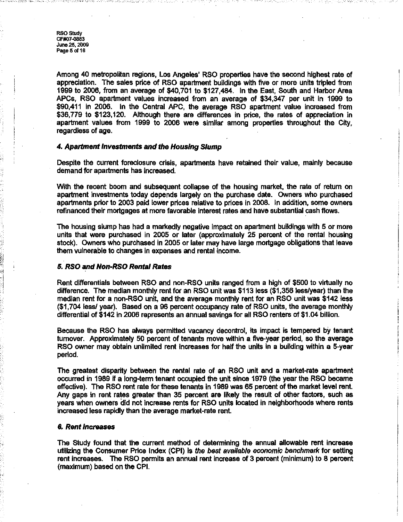**RSO Study** CF#07-0883 June 25, 2009 Page 5 of 16

Among 40 metropolitan regions, Los Angeles' RSO properties have the second highest rate of appreciation. The sales price of RSO apartment buildings with five or more units tripled from 1999 to 2006, from an average of \$40,701 to \$127,484. In the East, South and Harbor Area APCs, RSO apartment values increased from an average of \$34,347 per unit in 1999 to \$90,411 in 2006. In the Central APC, the average RSO apartment value increased from \$36,779 to \$123,120. Although there are differences in price, the rates of appreciation in apartment values from 1999 to 2006 were similar among properties throughout the City, regardless of age.

#### 4. Apartment Investments and the Housing Slump

Despite the current foreclosure crisis, apartments have retained their value, mainly because demand for apartments has increased.

With the recent boom and subsequent collapse of the housing market, the rate of return on apartment investments today depends largely on the purchase date. Owners who purchased apartments prior to 2003 paid lower prices relative to prices in 2008. In addition, some owners refinanced their mortgages at more favorable Interest rates and have substantial cash flows.

The housing slump has had a markedly negative impact on apartment buildings with 5 or more units that were purchased in 2005 or later (approximately 25 percent of the rental housing stock). Owners who purchased in 2005 or later may have large mortgage obligations that leave them vulnerable to changes in expenses and rental income.

#### 5. RSO and Non-RSO Rental Rates

(.1 :1 I

Rent differentials between RSO and non-RSO units ranged from a high of \$500 to virtually no difference. The median monthly rent for an RSO unit was \$113 less (\$1,356 less/year) than the median rent for a non-RSO unit, and the average monthly rent for an RSO unit was \$142 less (\$1,704 less! year). Based on a 96 percent occupancy rate of RSO units, the average monthly differential of \$142 in 2006 represents an annual savings for all RSO renters of \$1.04 billion.

Because the RSO has always permitted vacancy decontrol, its impact is tempered by tenant turnover. Approximately 50 percent of tenants move within a five-year period, so the average RSO owner may obtain unlimited rent increases for half the units in a building within a 5-year period.

The greatest disparity between the rental rate of an RSO unit and a market-rate apartment occurred in 1989 if a long-term tenant occupied the unit since 1979 (the year the RSO became effective). The RSO rent rate for these tenants in 1989 was 65 percent of the market level rent. Any gaps in rent rates greater than 35 percent are likely the result of other factors, such as years when owners did not increase rents for RSO units located in neighborhoods where rents increased less rapidly than the average market-rate rent.

#### 6. Rent Increases

The Study found that the current method of determining the annual allowable rent increase utilizing the Consumer Price Index (CPI) is the best available economic benchmark for setting rent increases. The RSO permits an annual rent increase of 3 percent (minimum) to 8 percent (maximum) based on the CPl.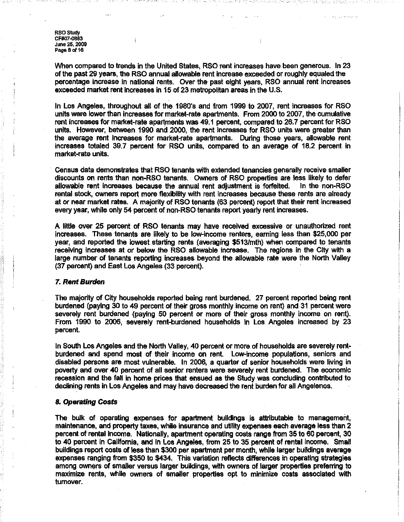**RSO Study** CF#07-0BB3 June 25. 2009 Page 8 of 16

When compared to trends in the United States, RSO rent increases have been generous. In 23 of the past 29 years, the RSO annual allowable rent increase exceeded or roughly equaled the percentage increase in national rents. Over the past eight years, RSO annual rent increases exceeded market rent increases in 15 of 23 metropolitan areas in the U.S.

In Los Angeles, throughout all of the 1980's and from 1999 to 2007, rent increases for RSO units were lower than increases for market-rate apartments. From 2000 to 2007, the cumulative rent increases for market-rate apartments was 49.1 percent, compared to 26.7 percent for RSO units. However, between 1990 and 2000, the rent increases for RSO units ware greater than the average rent increases for market-rate apartments. During those years, allowable rent increases totaled 39.7 percent for RSO units, compared to an average of 18.2 percent in market-rate units.

Census data demonstrates that RSO tenants with extended tenancies generally receive smaller discounts on rents than non-RSO tenants. OWners of RSO properties are less likely to defer allowable rent increases because the annual rent adjustment is forfeited. rental stock, owners report more flexibility with rent increases because these rents are already at or near market rates. A majority of RSO tenants (63 percent) report that their rent increased every year, while only 54 percent of non-RSO tenants report yearly rent increases.

A little over 25 percent of RSO tenants may have received excessive or unauthorized rent Increases. These tenants are likely to be low-income renters, earning less than \$25,000 per year, and reported the lowest starting rents (averaging \$513/mth) when compared to tenants receiving increases at or below the RSO allowable increase. The regions in the City with a large number of tenants reporting increases beyond the allowable rate were the North Valley (37 percent) and East Los Angeles (33 percent).

#### 7. Rent Burden

The majority of City households reported being rent burdened. 27 percent reported being rent burdened (paying 30 to 49 percent of their gross monthly income on rent) and 31 percent were severely rent burdened (paying 50 percent or more of their gross monthly income on rent). From 1990 to 2006, severely rent-burdened households in Los Angeles increased by 23 percent.

In South Los Angeles and the North Valley, 40 percent or more of households are severely rentburdened and spend most of their Income on rent. Low-income populations, seniors and disabled persons are most vulnerable. In 2006, a quarter of senior households were living in poverty and over 40 percent of all senior renters were severely rent burdened. The economic recession and the fall in home prices that ensued as the Study was concluding contributed to declining rents in Los Angeles and may have decreased the rent burden for all Angelenos.

#### 8. Operating Costs

The bulk of operating expenses for apartment buildings is attributable to management, maintenance, and property taxes, while insurance and utility expenses each average less than 2 percent of rental income. Nationally, apartment operating costs range from 35 to 60 percent, 30 to 40 percent in Califomia, and in Los Angeles, from 25 to 35 percent of rental income. Small buildings report costs of less than \$300 per apartment per month, while larger buildings average expenses ranging from \$350 to \$434. This variation reflects differences in operating strategies among owners of smaller versus larger buildings, with owners of larger properties preferring to maximize rents, while owners of smaller properties opt to minimize costs associated with turnover.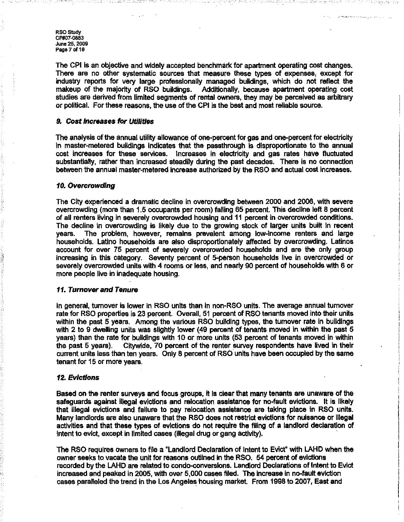RSO Study CF#07·08B3 June 25, 2009 Page 7 of 16

The CPI is an objective and widely accepted benchmark for apartment operating cost changes. There are no other systematic sources that measure these types of expenses, except for industry reports for very large professionally managed buildings, which do not reflect the makeup of the majority of RSO buildings. Additionally, because apartment operating cost studies are derived from limited segments of rental owners, they may be perceived as arbitrary or political. For these reasons, the use of the CPI is the best and most reliable source.

#### 9. Cost Increases for Utilities

The analysis of the annual utility allowance of one-percent for gas and one-percent for electricity in master-metered buildings indicates that the passthrough is disproportionate to the annual cost increases for these services. Increases in electricity and gas rates have fluctuated substantially, rather than increased steadily during the past decades. There is no connection between the annual master-metered increase authorized by the RSO and actual cost increases.

## 10. Overcrowding

The City experienced a dramatic decline in overcrowding between 2000 and 2006, with severe overcrowding (more than 1.5 occupants per room) falling 65 percent. This decline left 8 percent of all renters living in severely overcrowded housing and 11 percent in overcrowded conditions. The decline in overcrowding is likely due to the growing stock of larger units built in recent years. The problem, however, remains prevalent among low-income renters and large households. Latino households are also disproportionately affected by overcrowding. Latinos account for over 75 percent of severely overcrowded households and are the only group increasing in this category. Seventy percent of 5-person households live in overcrowded or severely overcrowded units with 4 rooms or less, and nearly 90 percent of households with 6 or more people live in inadequate housing.

## 11. Turnover and Tenure

In general, turnover is lower in RSO units than in non-RSO units. The average annual turnover rate for RSO properties is 23 percent. Overall, 51 percent of RSO tenants moved into their units within the past 5 years. Among the various RSO building types, the turnover rate in buildings with 2 to 9 dwelling units was slightly lower (49 percent of tenants moved in within the past 5 years) than the rate for buildings with 10 or more units (53 percent of tenants moved in within the past 5 years). Citywide, 70 percent of the renter survey respondents have lived in their current units less than ten years. Only 8 percent of RSO units have been occupied by the same tenant for 15 or more years.

#### 12. Evictions

Based on the renter surveys and focus groups. It Is clear that many tenants are unaware of the safeguards against illegal evictions and relocation assistance for no-fault evictions. It is likely that illegal evictions and failure to pay relocation assistance are taking place in RSO units. Many landlords are also unaware thai the RSO does not restrict evictions for nuisance or illegal activities and that these types of evictions do not require tha filing of a landlord declaration of intent to evict, except in limited cases (illegal drug or gang activity). .

The RSO requires owners to file a "Landlord Declaration of Intent to Evict" with LAHD when the owner seeks to vacate the unit for reasons outlined in the RSO. 54 percent of evictions recorded by the LAHD are related to condo-conversions. Landlord Declarations of Intent to Evict increased and peaked in 2005, with over 5,000 cases flied. The increase in no-fault eviction cases paralleled the trend in the Los Angeles housing market. From 1998 to 2007, East and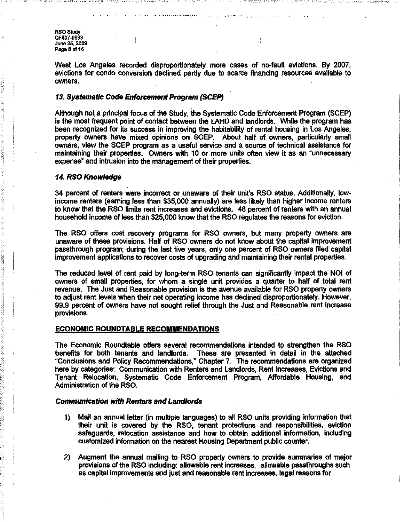---.-~, *'--y ..* - --.- -.\_ .•.•..••••. '--','.-' .- ". -.-' . '. -,.: •..••.....•

**RSO Study** CF#07-088a June 25, 2009 Page 8 of 16

West Los Angeles recorded disproportionately more cases of no-fault evictions, By 2007, evictions for condo conversion declined partly due to scarce financing resources available to owners,

 $\ell$ 

# 13. Systematic Code Enforcement Program (SCEP)

Although not a principal focus of the Study, the Systematic Code Enforcement Program (SCEP) is the most frequent point of contact between the LAHD and landlords. While the program has been recognized for its success in improving the habitability of rental housing in Los Angeles, property owners have mixed opinions on SCEP. About half of owners, particularly small owners, view the SCEP program as a useful service and a source of technical assistance for maintaining their properlles. OWners with 10 or more units often view it as an "unnecessary expense" and intrusion into the management of their properties.

## 14. RSO Knowledge

34 percent of renters were incorrect or unaware of their unit's RSO status. Additionally, lowincome renters (earning less than \$35,000 annually) are less likely than higher income renters to know that the RSO limits rent increases and evictions. 48 percent of renters with an annual household income of less than \$25,000 know that the RSO regulates the reasons for eviction.

The RSO offers cost recovery programs for RSO owners, but many property owners are unaware of these provisions. Half of RSO owners do not know about the capital improvement passthrough program; during the last five years, only one percent of RSO owners filed capital improvement applications to recover costs of upgrading and maintaining their rental properties.

The reduced level of rent paid by long-term RSO tenants can significantly impact the NOI of owners of small properties, for whom a single unit provides a quarter to half of total rent revenue. The Just and Reasonable provision is the avenue available for RSO property owners to adjust rent levels When their net operating income has declined disproportionately, However, 99.9 percent of owners have not SOU9ht relief through the Just and Reasonable rent increase provisions.

#### ECONOMIC ROUNDTABLE RECOMMENDATIONS

The Economic Roundtable offers several recommendations intended to strengthen the RSO benefits for both tenants and landlords, These are presented in detail in the attached ·Conclusions and Policy Recommendations,' Chapter 7. The recommendations are organized here by categories: Communication with Renters and Landlords, Rent Increases, Evictions and Tenant Relocation, Systematic Code Enforcement Program, Affordable Housing, and Administration of the RSO.

#### Communication with Renters and Landlords

1"/

- 1) Mail an annual letter (in multiple languages) to all RSO units providing information that their unit is covered by the RSO, tenant protections and responsibilities, eviction safeguards, relocation assistance and how to obtain additional information, including customized information on the nearest Housing Department public counter.
- 2) Augment the annual mailing to RSO property owners to provide summaries of major provisions of the RSO including: allowable rent increases, allowable passthroughs such as capital Improvements and just and reasonable rent increases, legal reasons for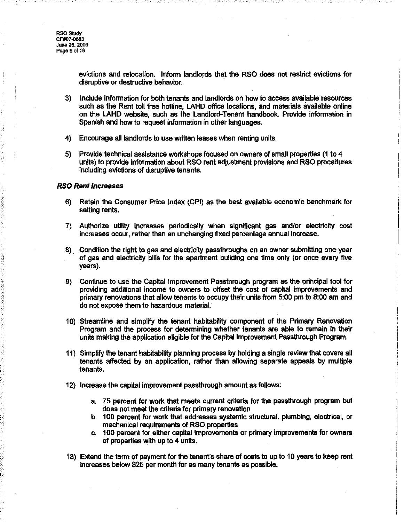evictions and relocation, Inform landlords that the RSO does not restrict evictions for disruptive or destructive behavior,

- 3) Include infonnation for both tenants and landlords on how to access available resources such as the Rent toll free hotline. LAHD office locations, and materials available online on the LAHD website, such as the Landlord-Tenant handbook. Provide infonnation in Spanish and how to request information in other languages.
- 4) Encourage all landlords to use written leases when renting units.
- 5) Provide technical assistance workshops focused on owners of small properties (1 to 4 units) to provide information about RSO rent adjustment provisions and RSO procedures including evictions of disruptive tenants.

# RSO Rent Increases

': •• 1

- 6) Retain the Consumer Price IndeX (CPI) as the best available economic benchmark for setting rents.
- 7) Authorize utility increases periodically when significant gas and/or electricity cost increases occur, rather than an unchanging fixed percentage annual increase.
- 8). Condition the right to gas and electricity passthroughs on an owner submitting one year of gas and electricity bills for the apartment building one time only (or once every five years).
- 9) Continue to use the Capital Improvement Passthrough program as the principal tool for providing additional income to owners to offset the cost of capital improvements and primary renovations that allow tenants to occupy their units from 5:00 pm to 8:00 am and do not expose them to hazardous malerial.
- 10) Streamline and simplify the tenant habitability component of the Primary Renovation Program and the process for detennining whether tenants are able to remain in their units making the application eligible for the Capital Improvement Passthrough Program.
- 11) Simplify the tenant habitability planning process by holding a single review that covers all tenants affected by an application, rather than allowing separate appeals by multiple tenants.
- 12) Increase the capital improvement passthrough amount as follows:
	- a. 75 percent for work that meets current criteria for the passthrough program but does not meet the criteria for primary renovation
	- b. 100 percent for work that addresses systemic structural, plumbing, electrical. or mechanical requirements of RSO properties
	- c. 100 percent for either capital improvements or primary improvements for owners of properties with up to 4 units.
- 13) Extend the term of payment for the tenant's share of costs to up to 10 years to keep rent increases below \$25 per month for as many tenants as possible.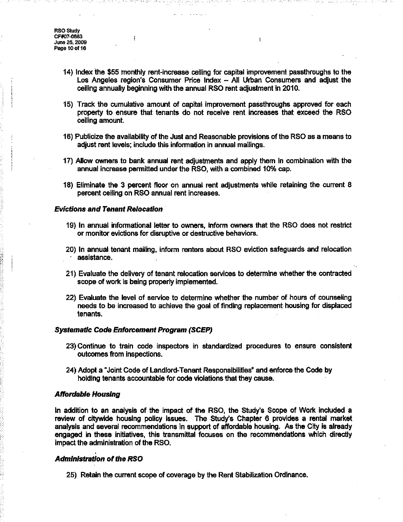**RSO Study** CF#07-0883 June 25. 2009 Page 10 of 16

- 14) Index the \$55 monthly rent-increase ceiling for capital improvement passthroughs to the Los Angeles region's Consumer Price Index - All Urban Consumers and adjust the ceiling annually beginning with the annual RSO rent adjustment in 2010.
- 15) Track the cumulative amount of capital improvement passthroughs approved for each property to ensure that tenants do not receive rent increases that exceed the RSO ceiling amount.
- 16) Publicize the availability of the Just and Reasonable provisions of the RSO as a means to adjust rent levels; include this information in annual mailings.
- 17) Allow owners to bank annual rent adjustments and apply them in combination with the annual increase permitted under the RSO, with a combined 10% cap.
- 18) Eliminate the 3 percent floor on annual rent adjustments while retaining the current 8 percent ceiling on RSO annual rent increases.

#### Evictions and Tenant Relocation

- 19) In annual informational letter to owners, inform owners that the RSO does not restrict or monitor evictions for disruptive or destructive behaviors.
- 20) In annual tenant mailing, inform renters about RSO eviction safeguards and relocation . assistance.
- 21) Evaluate the delivery of tenant relocation services to determine whether the contracted scope of work is being properly implemented.
- 22) Evaluate the level of service to determine whether the number of hours of counseling needs to be increased to achieve the goal of finding replacement housing for displaced tenants.

## Systematic Code Enforcement Program (SCEP)

- 23) Continue to train code inspectors in standardized procedures to ensure consistent outcomes from inspections.
- 24) Adopt a Joint Code of Landlord-Tenant Responsibilities" and enforce the Code by holding tenants accountable for code violations that they cause.

#### Affordable Housing

In addition to an analysis of the impact of the RSO, the Study's Scope of Work included a review of citywide housing policy issues. The Study's Chapter 6 provides a rental market analysis and several recommendations In support of affordable housing. As the City is already engaged in these initiatives, this transmittal focuses on the recommendations which directly impact the administration of the RSO.

# Administration of the RSO

25) Retain the current scope of coverage by the Rent Stabilization Ordinance.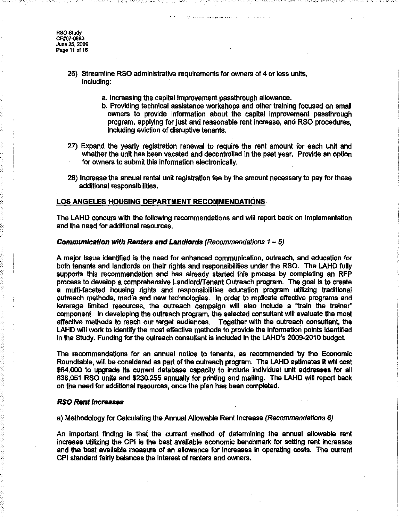**RSO Study** CF#07-0883 **June-** 25. 2009 Pago11 of 16

- 26) Streamline RSO administrative requirements for owners of 4 or less units, including:
	- a. Increasing the capital improvement passthrough allowance.
	- b. Providing technical assistance workshops and other training focused on small owners to provide information about the capital improvement passthrough program, applying for just and reasonable rent increase, and RSO procedures, including eviction of disruptive tenants.
- 27) Expand the yearly registration renewal to require the rent amount for each unit and whether the unit has been vacated and decontrolled in the past year. Provide an option for owners to submit this information electronically.
- 28) Increase the annual rental unit registration fee by the amount necessary to pay for these additional responsibilities.

#### LOS ANGELES HOUSING DEPARTMENT RECOMMENDATIONS

The LAHD concurs with the following recommendations and will report back on implementation and the need for additional resources.

#### Communication with Renters and Landlords (Recommendations 1 - 5)

A major issue identified is the need for enhanced communication, outreach, and education for both tenants and landlords on their rights and responsibilities under the RSO. The LAHD fully supports this recommendation and has already started this process by completing an RFP process to develop a comprehensive Landlordffenant Outreach program. The goal is to create a multi-faceted housing rights and responsibilities education program utilizing traditional outreach methods, media and new technologies. In order to replicate effective programs and leverage limited resources, the outreach campaign will also include a "train the trainer' component. In developing the outreach program, the selected consultant will evaluate the most effective methods to reach our target audiences. Together with the outreach consultant, the LAHD will work to identify the most effective methods to provide the information points identified in the Study. Funding for the outreach consultant is included in the LAHD's 2009·2010 budget.

The recommendations for an annual notice to tenants, as recommended by the Economic Roundtable, will be considered as part of the outreach program. The LAHD estimates it will cost \$64,000 to upgrade its current database capacity to include individual unit addresses for all 638,051 RSO units and \$230,255 annually for printing and mailing. The LAHD will report back on the need for additional resources, once the plan has been completed.

#### RSO Rent Increases

a) Methodology for Calculating the Annual Allowable Rent Increase (Recommendations 6)

An important finding is that the current method of determining the annual allowable rent increase utilizing the CPI Is the best available economic benchmark for setting rent increases and the best available measure of an allowance for increases in operating costs. The current CPI standard fairly balances the Interest of renters and owners.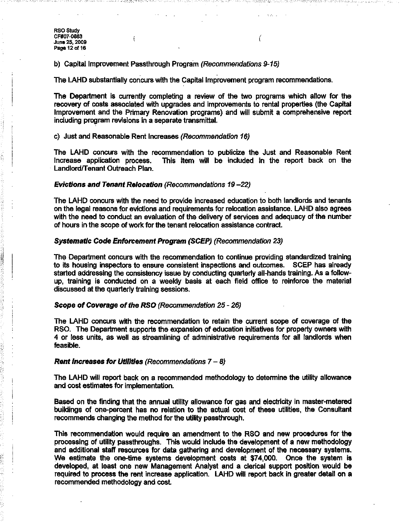· -'-'- '. -.':-

 $\mathbf{I}$ 

b) Capital Improvement Passthrough Program (Recommendations 9-15)

The LAHD substantially concurs with the Capital Improvement program recommendations.

The Department is currently completing a review of the two programs which allow for the recovery of costs associated with upgrades and improvements to rental properties (the Capital Improvement and the Primary Renovation programs) and will submit a comprehensive report including program revisions in a separate transmittal.

c) Just and Reasonable Rent Increases (Recommendation 16)

The LAHD concurs with the recommendation to publicize the Just and Reasonable Rent Increase application process. This item will be included in the report back on the This item will be included in the report back on the Landlord/Tenant Outreach Plan.

## Evictions and Tenant Relocation (Recommendations 19 -22)

The LAHD concurs with the need to provide increased education to both landlords and tenants on the legal reasons for evictions and requirements for relocation assistance. LAHD also agrees with the need to conduct an evaluation of the delivery of services and adequacy of the number of hours in the scope of work for the tenant relocation assistance contract.

## Systematic Code Enforcement Program (SCEP) (Recommendation 23)

The Department concurs with the recommendation to continue providing standardized training to its housing inspectors to ensure consistent inspections and outcomes. SCEP has already started addressing the consistency issue by conducting quarterly all-hands training. As a followup, training is conducted on a weekly basis at each field office to reinforce the material discussed at the quarterly training sessions.

# Scope of Coverage of the RSO (Recommendation 25 - 26)

The LAHD concurs with the recommendation to retain the current scope of coverage of the RSO. The Department supports the expansion of education initiatives for property owners with 4 or less units, as well as streamlining of administrative requirements for all landlords when feasible.

#### Rent Increases for Utilities (Recommendations  $7 - 8$ )

The LAHD will report back on a recommended methodology to determine the utility allowance and cost estimates for implementation.

Based on the finding that the annual utility allowance for gas and electricity in master-metered buildings of one-percent has no relation to the actual cost of these utilities, the Consultant recommends changing the method for the utility passthrough.

This recommendation would require an amendment to the RSO and new procedures for the processing of utility passthroughs. This would include the development of a new methodology and additional staff resources for data gathering and development of the necessary systems. We estimate the one-time systems development costs at \$74,000. Once the system is developed, at least one new Management Analyst and a clerical support position would be required to process the rent increase application. LAHD will report back in greater detail on a recommended methodology and cost.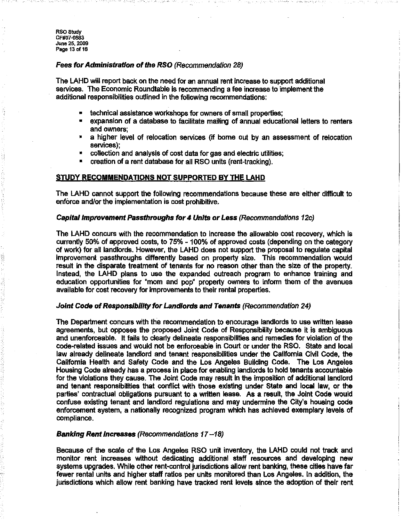RSOStudy CF#07-0883 Juno 25, 2009 Page 13 of 16

# Fees for Administration of the RSO (Recommendation 28)

The LAHD will report back on the need for an annual rent increase to support additional services, The Economic Roundtable is recommending a fee increase to implement the additional responsibilities outlined in the following recommendations:

- technical assistance workshops for owners of small properties;
- expansion of a database to facilitate mailing of annual educational letters to renters and owners;
- a higher level of relocation services (if borne out by an assessment of relocation services);
- collection and analysis of cost data for gas and electric utilities;
- creation of a rent database for all RSO units (rent-tracking).

# STUDY RECOMMENDATIONS NOT SUPPORTED BY THE LAHD

The LAHD cannot support the following recommendations because these are either difficult to enforce and/or the implementation is cost prohibitive.

## Capital Improvement Passthroughs for 4 Units or Less (Recommendations 12c)

The LAHD concurs with the recommendation to increase the allowable cost recovery, which is currently 50% of approved costs, to 75% -100% of approved costs (depending on the category of work) for all landlords. However, the LAHD does not support the proposal to regulate capital improvement passthroughs differently based on property size, This recommendation would result in the disparate treatment of tenants for no reason other than the size of the property. Instead, the LAHD plans to use the expanded outreach program to enhance training and education opportunities for "mom and pop" property owners to inform them of the avenues available for cost recovery for improvements to their rental properties.

#### Joint Code of Responsibility for Landlords and Tenants (Recommendation 24)

The Department concurs wrth the recommendation to encourage landlords to use written lease agreements, but opposes the proposed Joint Code of Responsibility because it is ambiguous and unenforceable, It fails to clearly delineate responsibilities and remedies for violation of the code-related issues and would not be enforceable in Court or under the RSO, State and local law already delineate landlord and tenant responsibilities under the California Civil Code, the California Health and Safety Code and the Los Angeles Building Code. The Los Angeles Housing Code already has a process in place for enabling landlords to hold tenants accountable for the violations they cause. The Joint Code may result in the imposition of additional landlord and tenant responsibilities that conflict with those existing under State and local law, or the parties' contractual obligations pursuant to a written lease. As a result, the Joint Code would confuse existing tenant and landlord regulations and may undermine the City's housing code enforcement system, a nationally recognized program which has achieved exemplary levels of compliance.

# Banking Rent Increases (Recommendations  $17-18$ )

Because of the scale of the Los Angeles RSO unit inventory, the LAHD could not track and monitor rent increases without dedicating additional staff resources and developing new systems upgrades. While other rent-control jurisdictions allow rent banking, these cities have far fewer rental units and higher staff ratios per units monitored than Los Angeles. In addition, the jurisdictions which allow rent banking have tracked rent levels since the adoption of their rent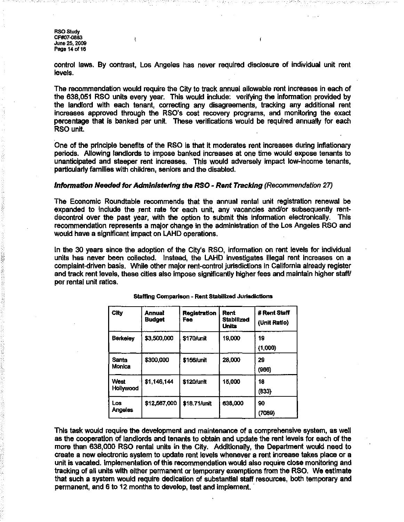**RSO Study** CF#07-0883 June 25. 2009 Page 14 of 16

 $\mathbf{I}$ 

control laws. By contrast, Los Angeles has never required disclosure of individual unit rent levels.

The recommendation would require the City to track annual allowable rent increases in each of the 638,051 RSO units every year. This would include: verifying the infonnation provided by the landlord with each tenant, correcting any disagreements, tracking any additional rent increases approved through the RSO's cost recovery programs, and monitoring the exact percentage that is banked per unit. These verifications would be required annually for each RSO unit.

One of the principle benefits of the RSO is that it moderates rent increases during inflationary periods. Allowing landlords to impose banked increases at one time would expose tenants to unanticipated and steeper rent increases. This would adversely impact low-income tenants, particularly families with children, seniors and the disabled.

#### Information Needed for Administering the RSO - Rent Tracking (Recommendation 27)

The Economic Roundtable recommends that the annual rental unit registration renewal be expanded to include the rent rate for each unit, any vacancies and/or subsequently rentdecontrol over the past year, with the option to submit this infonnation electronically. This recommendation represents a major change in the administration of the Los Angeles RSO and would have a significant impact on LAHD operations.

In the 30 years since the adoption of the City's RSO, information on rent levels for individual units has never been collected. Instead, the LAHD investigates illegal rent increases on a complaint-driven basis. While other major rent-control jurisdictions in California already register and track rent levels, these cities also impose significantly higher fees and maintain higher staff/ per rental unit ratios.

| City                   | <b>Annual</b><br><b>Budget</b> | Registration<br>Fee | <b>Rent</b><br><b>Stabilized</b><br>Units | # Rent Staff<br>(Unit Ratio) |
|------------------------|--------------------------------|---------------------|-------------------------------------------|------------------------------|
| Berkeley               | \$3,500,000                    | \$170/unit          | 19,000                                    | 19<br>(1,000)                |
| <b>Santa</b><br>Monica | \$300,000                      | \$156/unit          | 28,000                                    | 29<br>(966)                  |
| West<br>Hollywood      | \$1,146,144                    | \$120/unit          | 15,000                                    | 18<br>(833)                  |
| Los<br><b>Angeles</b>  | \$12,567,000                   | \$18.71/unit        | 638,000                                   | 90<br>(7089)                 |

## Slaffing Comparison - Rent Slabilized JUrisdictions

This task would require the development and maintenance of a comprehensive system, as well as the cooperation of landlords and tenants to obtain and update the rent levels for each of the more than 638,000 RSO rental units in the City. Additionally. the Department would need to create a new electronic system to update rent levels whenever a rent increase takes place or a unit is vacated. Implementation of this recommendation would also require close monitoring and tracking of all units with either pennanent or temporary exemptions from the RSO. We estimate that such a system would require dedication of substantial staff resources, both temporary and permanent, and 6 to 12 months to develop, test and implement.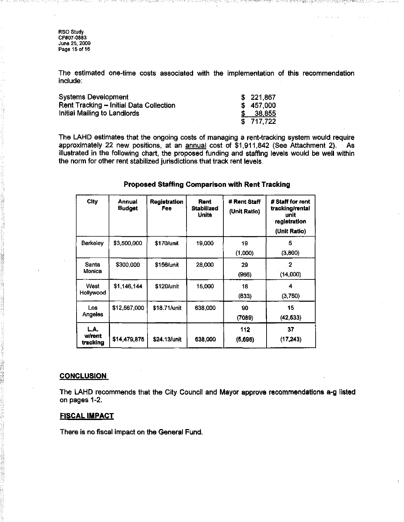RSO Study CF#07-0883 June 25, 2009 Page 15 of 16

The estimated one-time costs associated with the implementation of this recommendation include:

 $\mathbb{Z}$ g $, \mathbb{Z}$ 

| <b>Systems Development</b>              | \$221,867 |
|-----------------------------------------|-----------|
| Rent Tracking - Initial Data Collection | \$457,000 |
| Initial Mailing to Landlords            | 38,855    |
|                                         | \$717,722 |

The LAHD estimates that the ongoing costs of managing a rent-tracking system would require approximately 22 new positions, at an annual cost of \$1,911,842 (See Attachment 2). As illustrated in the following chart, the proposed funding and staffing levels would be well within the norm for other rent stabilized jurisdictions that track rent levels,

| City                       | Annual<br><b>Budget</b> | Registration<br>Fee | Rent<br><b>Stabilized</b><br>Units | # Rent Staff<br>(Unit Ratio) | # Staff for rent<br>tracking/rental<br>unit<br>registration<br>(Unit Ratio) |
|----------------------------|-------------------------|---------------------|------------------------------------|------------------------------|-----------------------------------------------------------------------------|
| Berkeley                   | \$3,500,000             | \$170/unit          | 19,000                             | 19<br>(1,000)                | 5<br>(3,800)                                                                |
| Santa<br>Monica            | \$300,000               | \$156/unit          | 28,000                             | 29<br>(966)                  | 2<br>(14,000)                                                               |
| West<br>Hollywood          | \$1,146,144             | \$120/unit          | 15,000                             | 18<br>(833)                  | 4<br>(3,750)                                                                |
| Los<br><b>Angeles</b>      | \$12,567,000            | \$18.71/unit        | 638,000                            | 90<br>(7089)                 | 15<br>(42, 533)                                                             |
| L.A.<br>w/rent<br>tracking | \$14,479,875            | \$24,13/unit        | 638,000                            | 112<br>(5,696)               | 37<br>(17, 243)                                                             |

# Proposed Staffing Comparison **with Rent** Tracking

#### **CONCLUSION**

The LAHD recommends that the City Council and Mayor approve recommendations a-g listed on pages 1-2,

# **FISCAL IMPACT**

There is no fiscal impact on the General Fund,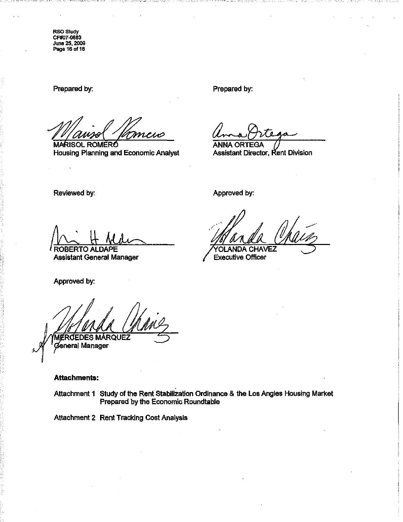RSO Study CfW07-0883 June 25, 2009 Page 16 of 16

Prepared by:

~~~ Housing Planning and Economic Analyst

Prepared by:

**ANNA ORTEGA** Assistant Director, Rent Division

Reviewed by:

ROBERTO ALDAPE  $\frac{1}{2}$  H Medic

Assistant General Manager

Approved by:

MERCEDES MÁRQUEZ @eneral Manager

# **Attachments:**

Attachment 1 Study of the Rent Stabilization Ordinance & the Los Angles Housing Market Prepared by the Economic Roundtable

Attachment 2 Rent Tracking Cost Analysis

Approved by:

OLANDA CHAVEZ

Executive Officer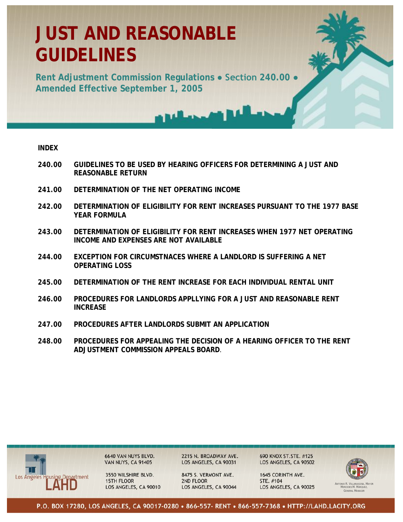# **JUST AND REASONABLE GUIDELINES**

**Rent Adjustment Commission Regulations ● Section 240.00 ● Amended Effective September 1, 2005** 

# **INDEX**

- **240.00 GUIDELINES TO BE USED BY HEARING OFFICERS FOR DETERMINING A JUST AND REASONABLE RETURN**
- **241.00 DETERMINATION OF THE NET OPERATING INCOME**
- **242.00 DETERMINATION OF ELIGIBILITY FOR RENT INCREASES PURSUANT TO THE 1977 BASE YEAR FORMULA**
- **243.00 DETERMINATION OF ELIGIBILITY FOR RENT INCREASES WHEN 1977 NET OPERATING INCOME AND EXPENSES ARE NOT AVAILABLE**
- **244.00 EXCEPTION FOR CIRCUMSTNACES WHERE A LANDLORD IS SUFFERING A NET OPERATING LOSS**
- **245.00 DETERMINATION OF THE RENT INCREASE FOR EACH INDIVIDUAL RENTAL UNIT**
- **246.00 PROCEDURES FOR LANDLORDS APPLLYING FOR A JUST AND REASONABLE RENT INCREASE**
- **247.00 PROCEDURES AFTER LANDLORDS SUBMIT AN APPLICATION**
- **248.00 PROCEDURES FOR APPEALING THE DECISION OF A HEARING OFFICER TO THE RENT ADJUSTMENT COMMISSION APPEALS BOARD**.



6640 VAN NUYS BLVD.<br>VAN NUYS, CA 91405

3550 WILSHIRE BLVD. **15TH FLOOR** LOS ANGELES, CA 90010 2215 N. BROADWAY AVE. LOS ANGELES, CA 90031

8475 S. VERMONT AVE. 2ND FLOOR LOS ANGELES, CA 90044 690 KNOX ST.STE. #125 LOS ANGELES, CA 90502

1645 CORINTH AVE. STE. #104 LOS ANGELES, CA 90025



MERCEDES M. MÁRQUEZ, GENERAL MANAGER

P.O. BOX 17280, LOS ANGELES, CA 90017-0280 • 866-557- RENT • 866-557-7368 • HTTP://LAHD.LACITY.ORG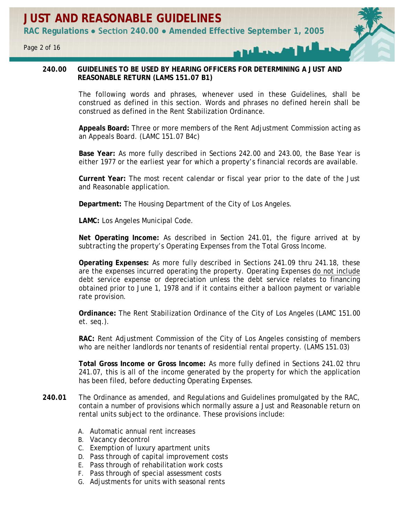# **240.00 GUIDELINES TO BE USED BY HEARING OFFICERS FOR DETERMINING A JUST AND REASONABLE RETURN (LAMS 151.07 B1)**

The following words and phrases, whenever used in these Guidelines, shall be construed as defined in this section. Words and phrases no defined herein shall be construed as defined in the Rent Stabilization Ordinance.

**Appeals Board:** Three or more members of the Rent Adjustment Commission acting as an Appeals Board. (LAMC 151.07 B4c)

**Base Year:** As more fully described in Sections 242.00 and 243.00, the Base Year is either 1977 or the earliest year for which a property's financial records are available.

**Current Year:** The most recent calendar or fiscal year prior to the date of the Just and Reasonable application.

**Department:** The Housing Department of the City of Los Angeles.

**LAMC:** Los Angeles Municipal Code.

**Net Operating Income:** As described in Section 241.01, the figure arrived at by subtracting the property's Operating Expenses from the Total Gross Income.

**Operating Expenses:** As more fully described in Sections 241.09 thru 241.18, these are the expenses incurred operating the property. Operating Expenses do not include debt service expense or depreciation unless the debt service relates to financing obtained prior to June 1, 1978 and if it contains either a balloon payment or variable rate provision.

**Ordinance:** The Rent Stabilization Ordinance of the City of Los Angeles (LAMC 151.00 et. seq.).

**RAC:** Rent Adjustment Commission of the City of Los Angeles consisting of members who are neither landlords nor tenants of residential rental property. (LAMS 151.03)

**Total Gross Income or Gross Income:** As more fully defined in Sections 241.02 thru 241.07, this is all of the income generated by the property for which the application has been filed, before deducting Operating Expenses.

- **240.01** The Ordinance as amended, and Regulations and Guidelines promulgated by the RAC, contain a number of provisions which normally assure a Just and Reasonable return on rental units subject to the ordinance. These provisions include:
	- A. Automatic annual rent increases
	- B. Vacancy decontrol
	- C. Exemption of luxury apartment units
	- D. Pass through of capital improvement costs
	- E. Pass through of rehabilitation work costs
	- F. Pass through of special assessment costs
	- G. Adjustments for units with seasonal rents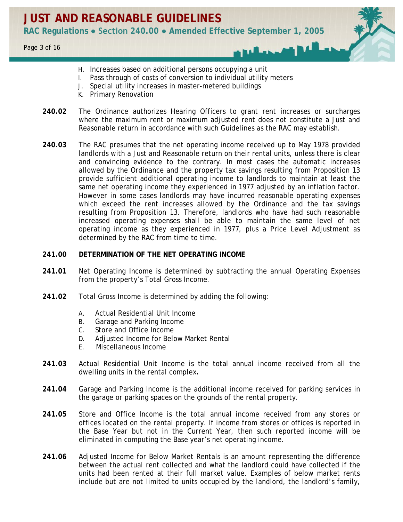- H. Increases based on additional persons occupying a unit
- I. Pass through of costs of conversion to individual utility meters
- J. Special utility increases in master-metered buildings
- K. Primary Renovation
- **240.02** The Ordinance authorizes Hearing Officers to grant rent increases or surcharges where the maximum rent or maximum adjusted rent does not constitute a Just and Reasonable return in accordance with such Guidelines as the RAC may establish.
- **240.03** The RAC presumes that the net operating income received up to May 1978 provided landlords with a Just and Reasonable return on their rental units, unless there is clear and convincing evidence to the contrary. In most cases the automatic increases allowed by the Ordinance and the property tax savings resulting from Proposition 13 provide sufficient additional operating income to landlords to maintain at least the same net operating income they experienced in 1977 adjusted by an inflation factor. However in some cases landlords may have incurred reasonable operating expenses which exceed the rent increases allowed by the Ordinance and the tax savings resulting from Proposition 13. Therefore, landlords who have had such reasonable increased operating expenses shall be able to maintain the same level of net operating income as they experienced in 1977, plus a Price Level Adjustment as determined by the RAC from time to time.

# **241.00 DETERMINATION OF THE NET OPERATING INCOME**

- **241.01** Net Operating Income is determined by subtracting the annual Operating Expenses from the property's Total Gross Income.
- **241.02** Total Gross Income is determined by adding the following:
	- A. Actual Residential Unit Income
	- B. Garage and Parking Income
	- C. Store and Office Income
	- D. Adjusted Income for Below Market Rental
	- E. Miscellaneous Income
- **241.03** Actual Residential Unit Income is the total annual income received from all the dwelling units in the rental complex**.**
- **241.04** Garage and Parking Income is the additional income received for parking services in the garage or parking spaces on the grounds of the rental property.
- **241.05** Store and Office Income is the total annual income received from any stores or offices located on the rental property. If income from stores or offices is reported in the Base Year but not in the Current Year, then such reported income will be eliminated in computing the Base year's net operating income.
- **241.06** Adjusted Income for Below Market Rentals is an amount representing the difference between the actual rent collected and what the landlord could have collected if the units had been rented at their full market value. Examples of below market rents include but are not limited to units occupied by the landlord, the landlord's family,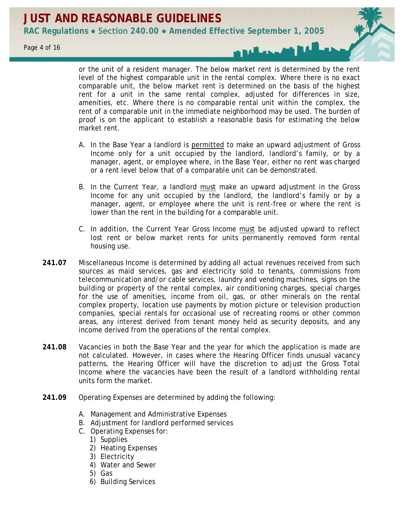or the unit of a resident manager. The below market rent is determined by the rent level of the highest comparable unit in the rental complex. Where there is no exact comparable unit, the below market rent is determined on the basis of the highest rent for a unit in the same rental complex, adjusted for differences in size, amenities, etc. Where there is no comparable rental unit within the complex, the rent of a comparable unit in the immediate neighborhood may be used. The burden of proof is on the applicant to establish a reasonable basis for estimating the below market rent.

- A. In the Base Year a landlord is permitted to make an upward adjustment of Gross Income only for a unit occupied by the landlord, landlord's family, or by a manager, agent, or employee where, in the Base Year, either no rent was charged or a rent level below that of a comparable unit can be demonstrated.
- B. In the Current Year, a landlord must make an upward adjustment in the Gross Income for any unit occupied by the landlord, the landlord's family or by a manager, agent, or employee where the unit is rent-free or where the rent is lower than the rent in the building for a comparable unit.
- C. In addition, the Current Year Gross Income must be adjusted upward to reflect lost rent or below market rents for units permanently removed form rental housing use.
- **241.07** Miscellaneous Income is determined by adding all actual revenues received from such sources as maid services, gas and electricity sold to tenants, commissions from telecommunication and/or cable services, laundry and vending machines, signs on the building or property of the rental complex, air conditioning charges, special charges for the use of amenities, income from oil, gas, or other minerals on the rental complex property, location use payments by motion picture or television production companies, special rentals for occasional use of recreating rooms or other common areas, any interest derived from tenant money held as security deposits, and any income derived from the operations of the rental complex.
- **241.08** Vacancies in both the Base Year and the year for which the application is made are not calculated. However, in cases where the Hearing Officer finds unusual vacancy patterns, the Hearing Officer will have the discretion to adjust the Gross Total Income where the vacancies have been the result of a landlord withholding rental units form the market.
- **241.09** Operating Expenses are determined by adding the following:
	- A. Management and Administrative Expenses
	- B. Adjustment for landlord performed services
	- C. Operating Expenses for:
		- 1) Supplies
		- 2) Heating Expenses
		- 3) Electricity
		- 4) Water and Sewer
		- 5) Gas
		- 6) Building Services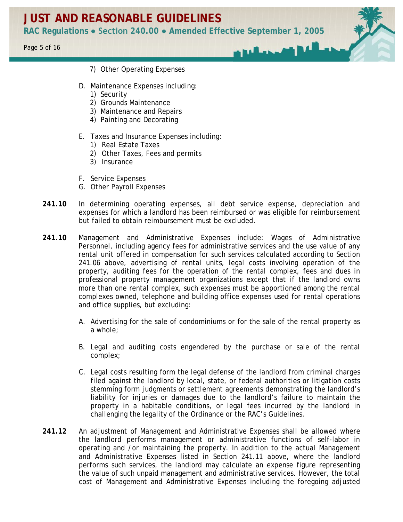**RAC Regulations ● Section 240.00 ● Amended Effective September 1, 2005**

**Marsh** 

- 7) Other Operating Expenses
- D. Maintenance Expenses including:
	- 1) Security
	- 2) Grounds Maintenance
	- 3) Maintenance and Repairs
	- 4) Painting and Decorating
- E. Taxes and Insurance Expenses including:
	- 1) Real Estate Taxes
	- 2) Other Taxes, Fees and permits
	- 3) Insurance
- F. Service Expenses
- G. Other Payroll Expenses
- **241.10** In determining operating expenses, all debt service expense, depreciation and expenses for which a landlord has been reimbursed or was eligible for reimbursement but failed to obtain reimbursement must be excluded.
- **241.10** Management and Administrative Expenses include: Wages of Administrative Personnel, including agency fees for administrative services and the use value of any rental unit offered in compensation for such services calculated according to Section 241.06 above, advertising of rental units, legal costs involving operation of the property, auditing fees for the operation of the rental complex, fees and dues in professional property management organizations except that if the landlord owns more than one rental complex, such expenses must be apportioned among the rental complexes owned, telephone and building office expenses used for rental operations and office supplies, but excluding:
	- A. Advertising for the sale of condominiums or for the sale of the rental property as a whole;
	- B. Legal and auditing costs engendered by the purchase or sale of the rental complex;
	- C. Legal costs resulting form the legal defense of the landlord from criminal charges filed against the landlord by local, state, or federal authorities or litigation costs stemming form judgments or settlement agreements demonstrating the landlord's liability for injuries or damages due to the landlord's failure to maintain the property in a habitable conditions, or legal fees incurred by the landlord in challenging the legality of the Ordinance or the RAC's Guidelines.
- **241.12** An adjustment of Management and Administrative Expenses shall be allowed where the landlord performs management or administrative functions of self-labor in operating and /or maintaining the property. In addition to the actual Management and Administrative Expenses listed in Section 241.11 above, where the landlord performs such services, the landlord may calculate an expense figure representing the value of such unpaid management and administrative services. However, the total cost of Management and Administrative Expenses including the foregoing adjusted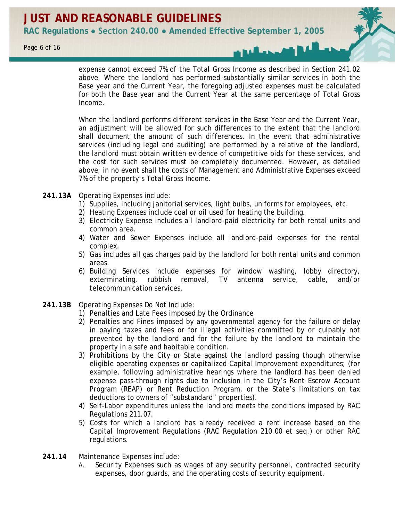expense cannot exceed 7% of the Total Gross Income as described in Section 241.02 above. Where the landlord has performed substantially similar services in both the Base year and the Current Year, the foregoing adjusted expenses must be calculated for both the Base year and the Current Year at the same percentage of Total Gross Income.

When the landlord performs different services in the Base Year and the Current Year, an adjustment will be allowed for such differences to the extent that the landlord shall document the amount of such differences. In the event that administrative services (including legal and auditing) are performed by a relative of the landlord, the landlord must obtain written evidence of competitive bids for these services, and the cost for such services must be completely documented. However, as detailed above, in no event shall the costs of Management and Administrative Expenses exceed 7% of the property's Total Gross Income.

- **241.13A** Operating Expenses include:
	- 1) Supplies, including janitorial services, light bulbs, uniforms for employees, etc.
	- 2) Heating Expenses include coal or oil used for heating the building.
	- 3) Electricity Expense includes all landlord-paid electricity for both rental units and common area.
	- 4) Water and Sewer Expenses include all landlord-paid expenses for the rental complex.
	- 5) Gas includes all gas charges paid by the landlord for both rental units and common areas.
	- 6) Building Services include expenses for window washing, lobby directory, exterminating, rubbish removal, TV antenna service, cable, and/or telecommunication services.
- **241.13B** Operating Expenses Do Not Include:
	- 1) Penalties and Late Fees imposed by the Ordinance
	- 2) Penalties and Fines imposed by any governmental agency for the failure or delay in paying taxes and fees or for illegal activities committed by or culpably not prevented by the landlord and for the failure by the landlord to maintain the property in a safe and habitable condition.
	- 3) Prohibitions by the City or State against the landlord passing though otherwise eligible operating expenses or capitalized Capital Improvement expenditures; (for example, following administrative hearings where the landlord has been denied expense pass-through rights due to inclusion in the City's Rent Escrow Account Program (REAP) or Rent Reduction Program, or the State's limitations on tax deductions to owners of "substandard" properties).
	- 4) Self-Labor expenditures unless the landlord meets the conditions imposed by RAC Regulations 211.07.
	- 5) Costs for which a landlord has already received a rent increase based on the Capital Improvement Regulations (RAC Regulation 210.00 et seq.) or other RAC regulations.
- **241.14** Maintenance Expenses include:
	- A. Security Expenses such as wages of any security personnel, contracted security expenses, door guards, and the operating costs of security equipment.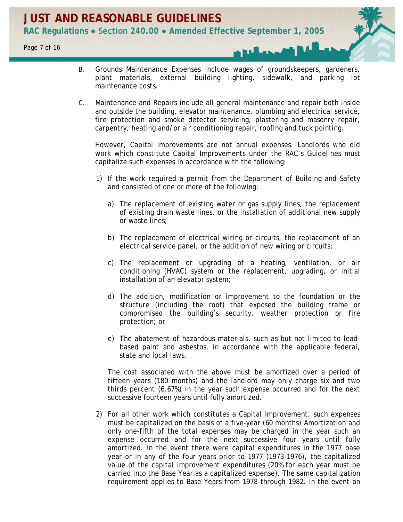- B. Grounds Maintenance Expenses include wages of groundskeepers, gardeners, plant materials, external building lighting, sidewalk, and parking lot maintenance costs.
- C. Maintenance and Repairs include all general maintenance and repair both inside and outside the building, elevator maintenance, plumbing and electrical service, fire protection and smoke detector servicing, plastering and masonry repair, carpentry, heating and/or air conditioning repair, roofing and tuck pointing.

However, Capital Improvements are not annual expenses. Landlords who did work which constitute Capital Improvements under the RAC's Guidelines must capitalize such expenses in accordance with the following:

- 1) If the work required a permit from the Department of Building and Safety and consisted of one or more of the following:
	- a) The replacement of existing water or gas supply lines, the replacement of existing drain waste lines, or the installation of additional new supply or waste lines;
	- b) The replacement of electrical wiring or circuits, the replacement of an electrical service panel, or the addition of new wiring or circuits;
	- c) The replacement or upgrading of a heating, ventilation, or air conditioning (HVAC) system or the replacement, upgrading, or initial installation of an elevator system;
	- d) The addition, modification or improvement to the foundation or the structure (including the roof) that exposed the building frame or compromised the building's security, weather protection or fire protection; or
	- e) The abatement of hazardous materials, such as but not limited to leadbased paint and asbestos, in accordance with the applicable federal, state and local laws.

The cost associated with the above must be amortized over a period of fifteen years (180 months) and the landlord may only charge six and two thirds percent (6.67%) in the year such expense occurred and for the next successive fourteen years until fully amortized.

2) For all other work which constitutes a Capital Improvement, such expenses must be capitalized on the basis of a five-year (60 months) Amortization and only one-fifth of the total expenses may be charged in the year such an expense occurred and for the next successive four years until fully amortized. In the event there were capital expenditures in the 1977 base year or in any of the four years prior to 1977 (1973-1976), the capitalized value of the capital improvement expenditures (20% for each year must be carried into the Base Year as a capitalized expense). The same capitalization requirement applies to Base Years from 1978 through 1982. In the event an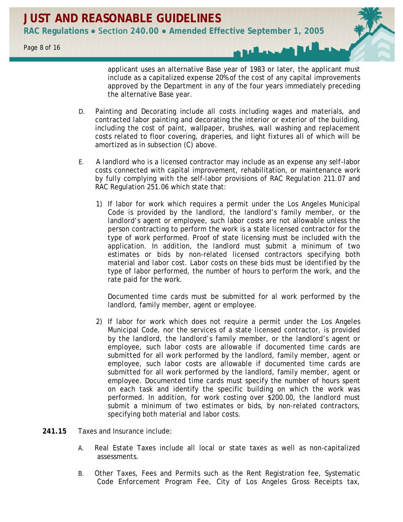applicant uses an alternative Base year of 1983 or later, the applicant must include as a capitalized expense 20% of the cost of any capital improvements approved by the Department in any of the four years immediately preceding the alternative Base year.

- D. Painting and Decorating include all costs including wages and materials, and contracted labor painting and decorating the interior or exterior of the building, including the cost of paint, wallpaper, brushes, wall washing and replacement costs related to floor covering, draperies, and light fixtures all of which will be amortized as in subsection (C) above.
- E. A landlord who is a licensed contractor may include as an expense any self-labor costs connected with capital improvement, rehabilitation, or maintenance work by fully complying with the self-labor provisions of RAC Regulation 211.07 and RAC Regulation 251.06 which state that:
	- 1) If labor for work which requires a permit under the Los Angeles Municipal Code is provided by the landlord, the landlord's family member, or the landlord's agent or employee, such labor costs are not allowable unless the person contracting to perform the work is a state licensed contractor for the type of work performed. Proof of state licensing must be included with the application. In addition, the landlord must submit a minimum of two estimates or bids by non-related licensed contractors specifying both material and labor cost. Labor costs on these bids must be identified by the type of labor performed, the number of hours to perform the work, and the rate paid for the work.

Documented time cards must be submitted for al work performed by the landlord, family member, agent or employee.

- 2) If labor for work which does not require a permit under the Los Angeles Municipal Code, nor the services of a state licensed contractor, is provided by the landlord, the landlord's family member, or the landlord's agent or employee, such labor costs are allowable if documented time cards are submitted for all work performed by the landlord, family member, agent or employee, such labor costs are allowable if documented time cards are submitted for all work performed by the landlord, family member, agent or employee. Documented time cards must specify the number of hours spent on each task and identify the specific building on which the work was performed. In addition, for work costing over \$200.00, the landlord must submit a minimum of two estimates or bids, by non-related contractors, specifying both material and labor costs.
- **241.15** Taxes and Insurance include:
	- A. Real Estate Taxes include all local or state taxes as well as non-capitalized assessments.
	- B. Other Taxes, Fees and Permits such as the Rent Registration fee, Systematic Code Enforcement Program Fee, City of Los Angeles Gross Receipts tax,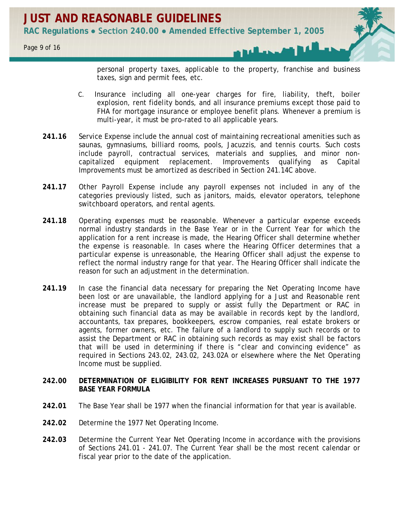personal property taxes, applicable to the property, franchise and business taxes, sign and permit fees, etc.

- C. Insurance including all one-year charges for fire, liability, theft, boiler explosion, rent fidelity bonds, and all insurance premiums except those paid to FHA for mortgage insurance or employee benefit plans. Whenever a premium is multi-year, it must be pro-rated to all applicable years.
- **241.16** Service Expense include the annual cost of maintaining recreational amenities such as saunas, gymnasiums, billiard rooms, pools, Jacuzzis, and tennis courts. Such costs include payroll, contractual services, materials and supplies, and minor noncapitalized equipment replacement. Improvements qualifying as Capital Improvements must be amortized as described in Section 241.14C above.
- **241.17** Other Payroll Expense include any payroll expenses not included in any of the categories previously listed, such as janitors, maids, elevator operators, telephone switchboard operators, and rental agents.
- **241.18** Operating expenses must be reasonable. Whenever a particular expense exceeds normal industry standards in the Base Year or in the Current Year for which the application for a rent increase is made, the Hearing Officer shall determine whether the expense is reasonable. In cases where the Hearing Officer determines that a particular expense is unreasonable, the Hearing Officer shall adjust the expense to reflect the normal industry range for that year. The Hearing Officer shall indicate the reason for such an adjustment in the determination.
- 241.19 In case the financial data necessary for preparing the Net Operating Income have been lost or are unavailable, the landlord applying for a Just and Reasonable rent increase must be prepared to supply or assist fully the Department or RAC in obtaining such financial data as may be available in records kept by the landlord, accountants, tax prepares, bookkeepers, escrow companies, real estate brokers or agents, former owners, etc. The failure of a landlord to supply such records or to assist the Department or RAC in obtaining such records as may exist shall be factors that will be used in determining if there is "clear and convincing evidence" as required in Sections 243.02, 243.02, 243.02A or elsewhere where the Net Operating Income must be supplied.

# **242.00 DETERMINATION OF ELIGIBILITY FOR RENT INCREASES PURSUANT TO THE 1977 BASE YEAR FORMULA**

- **242.01** The Base Year shall be 1977 when the financial information for that year is available.
- **242.02** Determine the 1977 Net Operating Income.
- **242.03** Determine the Current Year Net Operating Income in accordance with the provisions of Sections 241.01 - 241.07. The Current Year shall be the most recent calendar or fiscal year prior to the date of the application.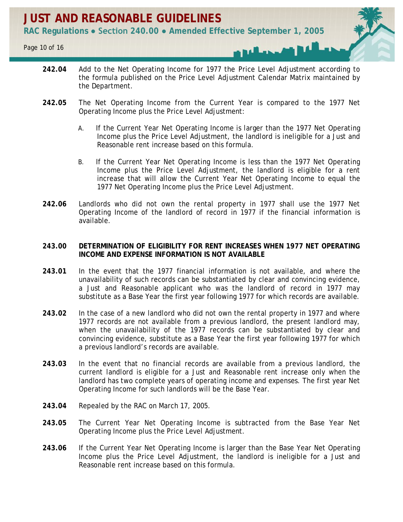- **242.04** Add to the Net Operating Income for 1977 the Price Level Adjustment according to the formula published on the Price Level Adjustment Calendar Matrix maintained by the Department.
- **242.05** The Net Operating Income from the Current Year is compared to the 1977 Net Operating Income plus the Price Level Adjustment:
	- A. If the Current Year Net Operating Income is larger than the 1977 Net Operating Income plus the Price Level Adjustment, the landlord is ineligible for a Just and Reasonable rent increase based on this formula.
	- B. If the Current Year Net Operating Income is less than the 1977 Net Operating Income plus the Price Level Adjustment, the landlord is eligible for a rent increase that will allow the Current Year Net Operating Income to equal the 1977 Net Operating Income plus the Price Level Adjustment.
- **242.06** Landlords who did not own the rental property in 1977 shall use the 1977 Net Operating Income of the landlord of record in 1977 if the financial information is available.

# **243.00 DETERMINATION OF ELIGIBILITY FOR RENT INCREASES WHEN 1977 NET OPERATING INCOME AND EXPENSE INFORMATION IS NOT AVAILABLE**

- **243.01** In the event that the 1977 financial information is not available, and where the unavailability of such records can be substantiated by clear and convincing evidence, a Just and Reasonable applicant who was the landlord of record in 1977 may substitute as a Base Year the first year following 1977 for which records are available.
- **243.02** In the case of a new landlord who did not own the rental property in 1977 and where 1977 records are not available from a previous landlord, the present landlord may, when the unavailability of the 1977 records can be substantiated by clear and convincing evidence, substitute as a Base Year the first year following 1977 for which a previous landlord's records are available.
- **243.03** In the event that no financial records are available from a previous landlord, the current landlord is eligible for a Just and Reasonable rent increase only when the landlord has two complete years of operating income and expenses. The first year Net Operating Income for such landlords will be the Base Year.
- **243.04** Repealed by the RAC on March 17, 2005.
- **243.05** The Current Year Net Operating Income is subtracted from the Base Year Net Operating Income plus the Price Level Adjustment.
- **243.06** If the Current Year Net Operating Income is larger than the Base Year Net Operating Income plus the Price Level Adjustment, the landlord is ineligible for a Just and Reasonable rent increase based on this formula.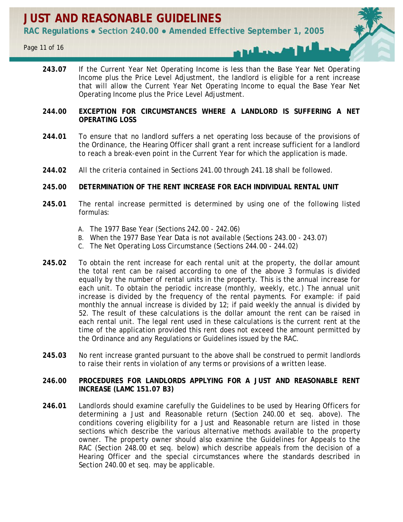**243.07** If the Current Year Net Operating Income is less than the Base Year Net Operating Income plus the Price Level Adjustment, the landlord is eligible for a rent increase that will allow the Current Year Net Operating Income to equal the Base Year Net Operating Income plus the Price Level Adjustment.

# **244.00 EXCEPTION FOR CIRCUMSTANCES WHERE A LANDLORD IS SUFFERING A NET OPERATING LOSS**

- **244.01** To ensure that no landlord suffers a net operating loss because of the provisions of the Ordinance, the Hearing Officer shall grant a rent increase sufficient for a landlord to reach a break-even point in the Current Year for which the application is made.
- **244.02** All the criteria contained in Sections 241.00 through 241.18 shall be followed.

# **245.00 DETERMINATION OF THE RENT INCREASE FOR EACH INDIVIDUAL RENTAL UNIT**

- **245.01** The rental increase permitted is determined by using one of the following listed formulas:
	- A. The 1977 Base Year (Sections 242.00 242.06)
	- B. When the 1977 Base Year Data is not available (Sections 243.00 243.07)
	- C. The Net Operating Loss Circumstance (Sections 244.00 244.02)
- **245.02** To obtain the rent increase for each rental unit at the property, the dollar amount the total rent can be raised according to one of the above 3 formulas is divided equally by the number of rental units in the property. This is the annual increase for each unit. To obtain the periodic increase (monthly, weekly, etc.) The annual unit increase is divided by the frequency of the rental payments. For example: if paid monthly the annual increase is divided by 12; if paid weekly the annual is divided by 52. The result of these calculations is the dollar amount the rent can be raised in each rental unit. The legal rent used in these calculations is the current rent at the time of the application provided this rent does not exceed the amount permitted by the Ordinance and any Regulations or Guidelines issued by the RAC.
- **245.03** No rent increase granted pursuant to the above shall be construed to permit landlords to raise their rents in violation of any terms or provisions of a written lease.

# **246.00 PROCEDURES FOR LANDLORDS APPLYING FOR A JUST AND REASONABLE RENT INCREASE (LAMC 151.07 B3)**

**246.01** Landlords should examine carefully the Guidelines to be used by Hearing Officers for determining a Just and Reasonable return (Section 240.00 et seq. above). The conditions covering eligibility for a Just and Reasonable return are listed in those sections which describe the various alternative methods available to the property owner. The property owner should also examine the Guidelines for Appeals to the RAC (Section 248.00 et seq. below) which describe appeals from the decision of a Hearing Officer and the special circumstances where the standards described in Section 240.00 et seq. may be applicable.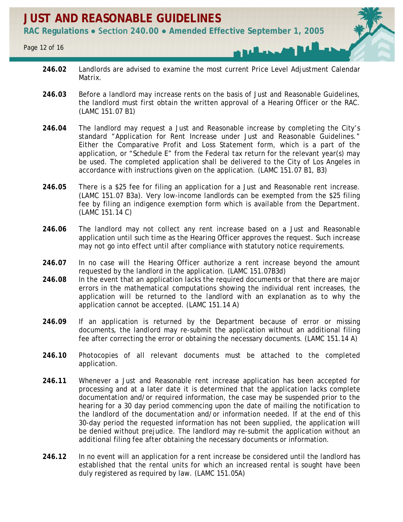- **246.02** Landlords are advised to examine the most current Price Level Adjustment Calendar Matrix.
- 246.03 Before a landlord may increase rents on the basis of Just and Reasonable Guidelines, the landlord must first obtain the written approval of a Hearing Officer or the RAC. (LAMC 151.07 B1)
- **246.04** The landlord may request a Just and Reasonable increase by completing the City's standard "Application for Rent Increase under Just and Reasonable Guidelines." Either the Comparative Profit and Loss Statement form, which is a part of the application, or "Schedule E" from the Federal tax return for the relevant year(s) may be used. The completed application shall be delivered to the City of Los Angeles in accordance with instructions given on the application. (LAMC 151.07 B1, B3)
- **246.05** There is a \$25 fee for filing an application for a Just and Reasonable rent increase. (LAMC 151.07 B3a). Very low-income landlords can be exempted from the \$25 filing fee by filing an indigence exemption form which is available from the Department. (LAMC 151.14 C)
- **246.06** The landlord may not collect any rent increase based on a Just and Reasonable application until such time as the Hearing Officer approves the request. Such increase may not go into effect until after compliance with statutory notice requirements.
- **246.07** In no case will the Hearing Officer authorize a rent increase beyond the amount requested by the landlord in the application. (LAMC 151.07B3d)
- **246.08** In the event that an application lacks the required documents or that there are major errors in the mathematical computations showing the individual rent increases, the application will be returned to the landlord with an explanation as to why the application cannot be accepted. (LAMC 151.14 A)
- **246.09** If an application is returned by the Department because of error or missing documents, the landlord may re-submit the application without an additional filing fee after correcting the error or obtaining the necessary documents. (LAMC 151.14 A)
- **246.10** Photocopies of all relevant documents must be attached to the completed application.
- **246.11** Whenever a Just and Reasonable rent increase application has been accepted for processing and at a later date it is determined that the application lacks complete documentation and/or required information, the case may be suspended prior to the hearing for a 30 day period commencing upon the date of mailing the notification to the landlord of the documentation and/or information needed. If at the end of this 30-day period the requested information has not been supplied, the application will be denied without prejudice. The landlord may re-submit the application without an additional filing fee after obtaining the necessary documents or information.
- **246.12** In no event will an application for a rent increase be considered until the landlord has established that the rental units for which an increased rental is sought have been duly registered as required by law. (LAMC 151.05A)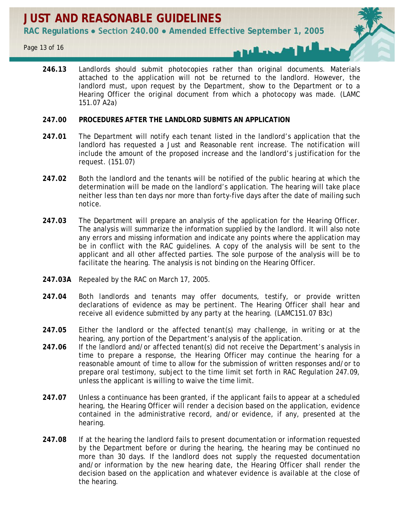**246.13** Landlords should submit photocopies rather than original documents. Materials attached to the application will not be returned to the landlord. However, the landlord must, upon request by the Department, show to the Department or to a Hearing Officer the original document from which a photocopy was made. (LAMC 151.07 A2a)

# **247.00 PROCEDURES AFTER THE LANDLORD SUBMITS AN APPLICATION**

- **247.01** The Department will notify each tenant listed in the landlord's application that the landlord has requested a Just and Reasonable rent increase. The notification will include the amount of the proposed increase and the landlord's justification for the request. (151.07)
- **247.02** Both the landlord and the tenants will be notified of the public hearing at which the determination will be made on the landlord's application. The hearing will take place neither less than ten days nor more than forty-five days after the date of mailing such notice.
- **247.03** The Department will prepare an analysis of the application for the Hearing Officer. The analysis will summarize the information supplied by the landlord. It will also note any errors and missing information and indicate any points where the application may be in conflict with the RAC guidelines. A copy of the analysis will be sent to the applicant and all other affected parties. The sole purpose of the analysis will be to facilitate the hearing. The analysis is not binding on the Hearing Officer.
- **247.03A** Repealed by the RAC on March 17, 2005.
- **247.04** Both landlords and tenants may offer documents, testify, or provide written declarations of evidence as may be pertinent. The Hearing Officer shall hear and receive all evidence submitted by any party at the hearing. (LAMC151.07 B3c)
- **247.05** Either the landlord or the affected tenant(s) may challenge, in writing or at the hearing, any portion of the Department's analysis of the application.
- **247.06** If the landlord and/or affected tenant(s) did not receive the Department's analysis in time to prepare a response, the Hearing Officer may continue the hearing for a reasonable amount of time to allow for the submission of written responses and/or to prepare oral testimony, subject to the time limit set forth in RAC Regulation 247.09, unless the applicant is willing to waive the time limit.
- **247.07** Unless a continuance has been granted, if the applicant fails to appear at a scheduled hearing, the Hearing Officer will render a decision based on the application, evidence contained in the administrative record, and/or evidence, if any, presented at the hearing.
- **247.08** If at the hearing the landlord fails to present documentation or information requested by the Department before or during the hearing, the hearing may be continued no more than 30 days. If the landlord does not supply the requested documentation and/or information by the new hearing date, the Hearing Officer shall render the decision based on the application and whatever evidence is available at the close of the hearing.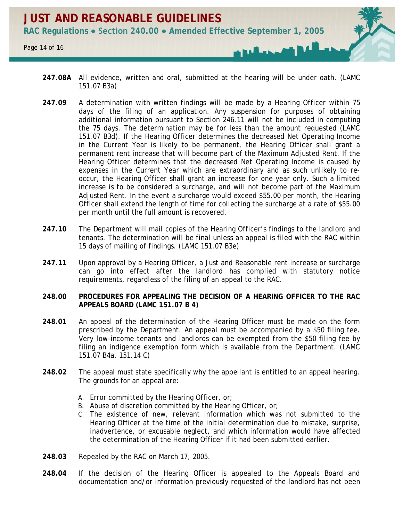

- **247.08A** All evidence, written and oral, submitted at the hearing will be under oath. (LAMC 151.07 B3a)
- **247.09** A determination with written findings will be made by a Hearing Officer within 75 days of the filing of an application. Any suspension for purposes of obtaining additional information pursuant to Section 246.11 will not be included in computing the 75 days. The determination may be for less than the amount requested (LAMC 151.07 B3d). If the Hearing Officer determines the decreased Net Operating Income in the Current Year is likely to be permanent, the Hearing Officer shall grant a permanent rent increase that will become part of the Maximum Adjusted Rent. If the Hearing Officer determines that the decreased Net Operating Income is caused by expenses in the Current Year which are extraordinary and as such unlikely to reoccur, the Hearing Officer shall grant an increase for one year only. Such a limited increase is to be considered a surcharge, and will not become part of the Maximum Adjusted Rent. In the event a surcharge would exceed \$55.00 per month, the Hearing Officer shall extend the length of time for collecting the surcharge at a rate of \$55.00 per month until the full amount is recovered.
- 247.10 The Department will mail copies of the Hearing Officer's findings to the landlord and tenants. The determination will be final unless an appeal is filed with the RAC within 15 days of mailing of findings. (LAMC 151.07 B3e)
- **247.11** Upon approval by a Hearing Officer, a Just and Reasonable rent increase or surcharge can go into effect after the landlord has complied with statutory notice requirements, regardless of the filing of an appeal to the RAC.

# **248.00 PROCEDURES FOR APPEALING THE DECISION OF A HEARING OFFICER TO THE RAC APPEALS BOARD (LAMC 151.07 B 4)**

- **248.01** An appeal of the determination of the Hearing Officer must be made on the form prescribed by the Department. An appeal must be accompanied by a \$50 filing fee. Very low-income tenants and landlords can be exempted from the \$50 filing fee by filing an indigence exemption form which is available from the Department. (LAMC 151.07 B4a, 151.14 C)
- **248.02** The appeal must state specifically why the appellant is entitled to an appeal hearing. The grounds for an appeal are:
	- A. Error committed by the Hearing Officer, or;
	- B. Abuse of discretion committed by the Hearing Officer, or;
	- C. The existence of new, relevant information which was not submitted to the Hearing Officer at the time of the initial determination due to mistake, surprise, inadvertence, or excusable neglect, and which information would have affected the determination of the Hearing Officer if it had been submitted earlier.
- **248.03** Repealed by the RAC on March 17, 2005.
- **248.04** If the decision of the Hearing Officer is appealed to the Appeals Board and documentation and/or information previously requested of the landlord has not been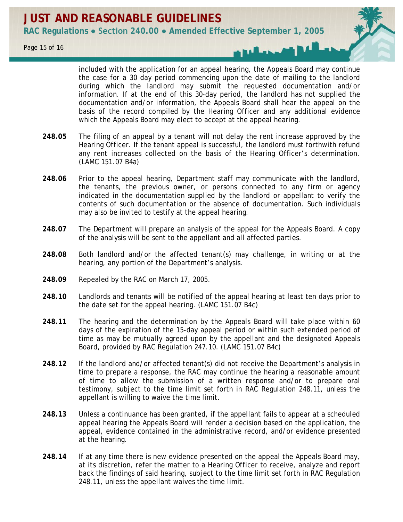included with the application for an appeal hearing, the Appeals Board may continue the case for a 30 day period commencing upon the date of mailing to the landlord during which the landlord may submit the requested documentation and/or information. If at the end of this 30-day period, the landlord has not supplied the documentation and/or information, the Appeals Board shall hear the appeal on the basis of the record compiled by the Hearing Officer and any additional evidence which the Appeals Board may elect to accept at the appeal hearing.

- **248.05** The filing of an appeal by a tenant will not delay the rent increase approved by the Hearing Officer. If the tenant appeal is successful, the landlord must forthwith refund any rent increases collected on the basis of the Hearing Officer's determination. (LAMC 151.07 B4a)
- **248.06** Prior to the appeal hearing, Department staff may communicate with the landlord, the tenants, the previous owner, or persons connected to any firm or agency indicated in the documentation supplied by the landlord or appellant to verify the contents of such documentation or the absence of documentation. Such individuals may also be invited to testify at the appeal hearing.
- **248.07** The Department will prepare an analysis of the appeal for the Appeals Board. A copy of the analysis will be sent to the appellant and all affected parties.
- **248.08** Both landlord and/or the affected tenant(s) may challenge, in writing or at the hearing, any portion of the Department's analysis.
- **248.09** Repealed by the RAC on March 17, 2005.
- **248.10** Landlords and tenants will be notified of the appeal hearing at least ten days prior to the date set for the appeal hearing. (LAMC 151.07 B4c)
- **248.11** The hearing and the determination by the Appeals Board will take place within 60 days of the expiration of the 15-day appeal period or within such extended period of time as may be mutually agreed upon by the appellant and the designated Appeals Board, provided by RAC Regulation 247.10. (LAMC 151.07 B4c)
- **248.12** If the landlord and/or affected tenant(s) did not receive the Department's analysis in time to prepare a response, the RAC may continue the hearing a reasonable amount of time to allow the submission of a written response and/or to prepare oral testimony, subject to the time limit set forth in RAC Regulation 248.11, unless the appellant is willing to waive the time limit.
- **248.13** Unless a continuance has been granted, if the appellant fails to appear at a scheduled appeal hearing the Appeals Board will render a decision based on the application, the appeal, evidence contained in the administrative record, and/or evidence presented at the hearing.
- **248.14** If at any time there is new evidence presented on the appeal the Appeals Board may, at its discretion, refer the matter to a Hearing Officer to receive, analyze and report back the findings of said hearing, subject to the time limit set forth in RAC Regulation 248.11, unless the appellant waives the time limit.